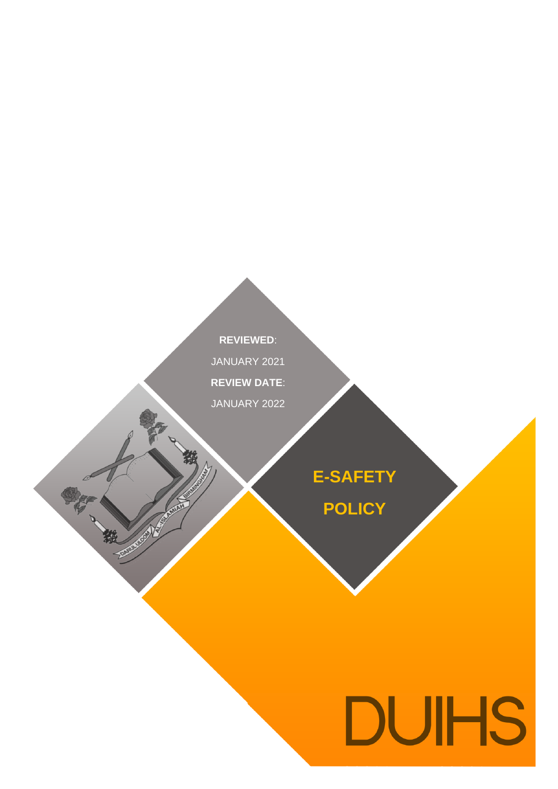**REVIEWED**: JANUARY 2021 **REVIEW DATE**: JANUARY 2022

被

一般

**FOOD MANAGEMENT** 

**E-SAFETY**

**POLICY**

# **DUIHS**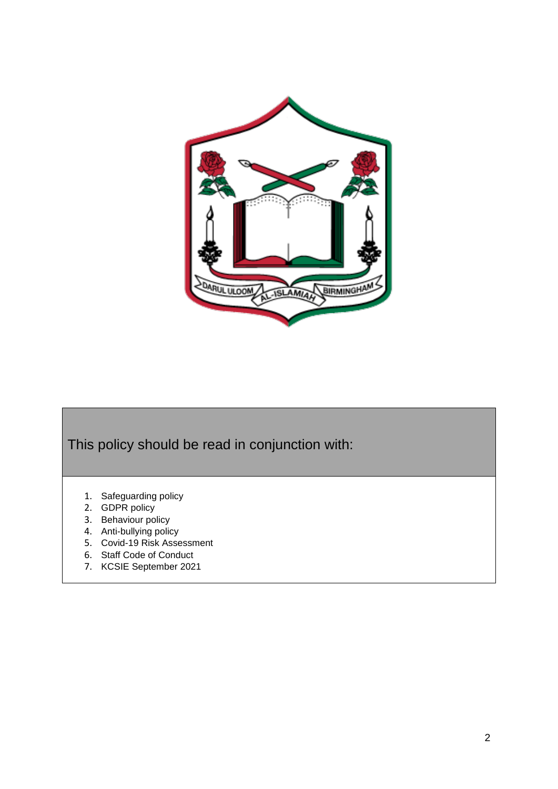

This policy should be read in conjunction with:

- 1. Safeguarding policy
- 2. GDPR policy
- 3. Behaviour policy
- 4. Anti-bullying policy
- 5. Covid-19 Risk Assessment
- 6. Staff Code of Conduct
- 7. KCSIE September 2021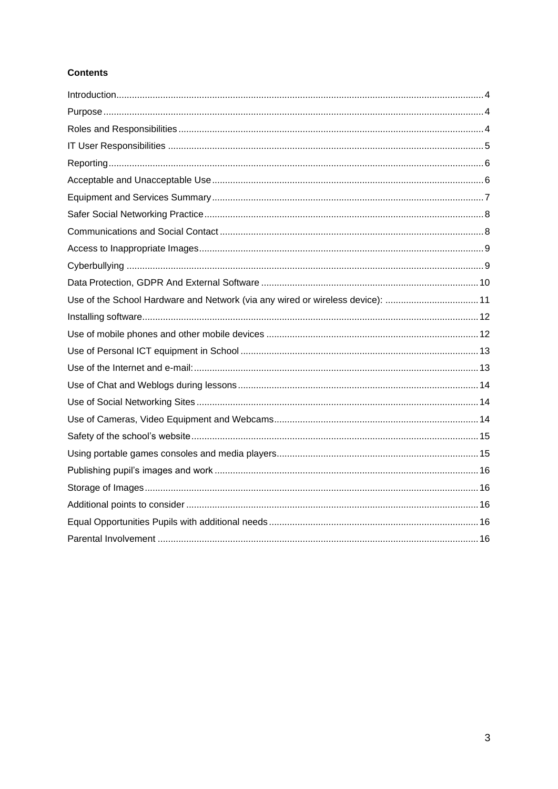# **Contents**

| Use of the School Hardware and Network (via any wired or wireless device): 11 |
|-------------------------------------------------------------------------------|
|                                                                               |
|                                                                               |
|                                                                               |
|                                                                               |
|                                                                               |
|                                                                               |
|                                                                               |
|                                                                               |
|                                                                               |
|                                                                               |
|                                                                               |
|                                                                               |
|                                                                               |
|                                                                               |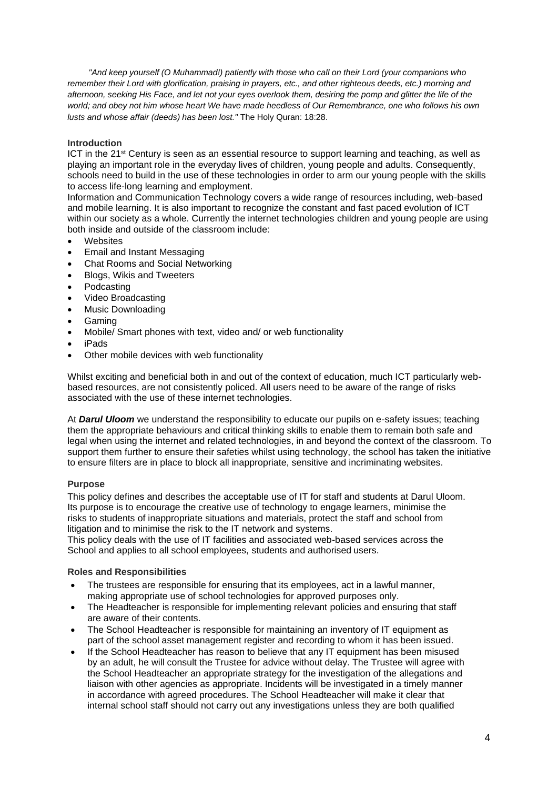*"And keep yourself (O Muhammad!) patiently with those who call on their Lord (your companions who remember their Lord with glorification, praising in prayers, etc., and other righteous deeds, etc.) morning and*  afternoon, seeking His Face, and let not your eyes overlook them, desiring the pomp and glitter the life of the *world; and obey not him whose heart We have made heedless of Our Remembrance, one who follows his own lusts and whose affair (deeds) has been lost."* The Holy Quran: 18:28.

### <span id="page-3-0"></span>**Introduction**

ICT in the 21st Century is seen as an essential resource to support learning and teaching, as well as playing an important role in the everyday lives of children, young people and adults. Consequently, schools need to build in the use of these technologies in order to arm our young people with the skills to access life-long learning and employment.

Information and Communication Technology covers a wide range of resources including, web-based and mobile learning. It is also important to recognize the constant and fast paced evolution of ICT within our society as a whole. Currently the internet technologies children and young people are using both inside and outside of the classroom include:

- **Websites**
- Email and Instant Messaging
- Chat Rooms and Social Networking
- Blogs, Wikis and Tweeters
- Podcasting
- Video Broadcasting
- Music Downloading
- Gaming
- Mobile/ Smart phones with text, video and/ or web functionality
- iPads
- Other mobile devices with web functionality

Whilst exciting and beneficial both in and out of the context of education, much ICT particularly webbased resources, are not consistently policed. All users need to be aware of the range of risks associated with the use of these internet technologies.

At *Darul Uloom* we understand the responsibility to educate our pupils on e-safety issues; teaching them the appropriate behaviours and critical thinking skills to enable them to remain both safe and legal when using the internet and related technologies, in and beyond the context of the classroom. To support them further to ensure their safeties whilst using technology, the school has taken the initiative to ensure filters are in place to block all inappropriate, sensitive and incriminating websites.

### <span id="page-3-1"></span>**Purpose**

This policy defines and describes the acceptable use of IT for staff and students at Darul Uloom. Its purpose is to encourage the creative use of technology to engage learners, minimise the risks to students of inappropriate situations and materials, protect the staff and school from litigation and to minimise the risk to the IT network and systems.

This policy deals with the use of IT facilities and associated web-based services across the School and applies to all school employees, students and authorised users.

### <span id="page-3-2"></span>**Roles and Responsibilities**

- The trustees are responsible for ensuring that its employees, act in a lawful manner, making appropriate use of school technologies for approved purposes only.
- The Headteacher is responsible for implementing relevant policies and ensuring that staff are aware of their contents.
- The School Headteacher is responsible for maintaining an inventory of IT equipment as part of the school asset management register and recording to whom it has been issued.
- If the School Headteacher has reason to believe that any IT equipment has been misused by an adult, he will consult the Trustee for advice without delay. The Trustee will agree with the School Headteacher an appropriate strategy for the investigation of the allegations and liaison with other agencies as appropriate. Incidents will be investigated in a timely manner in accordance with agreed procedures. The School Headteacher will make it clear that internal school staff should not carry out any investigations unless they are both qualified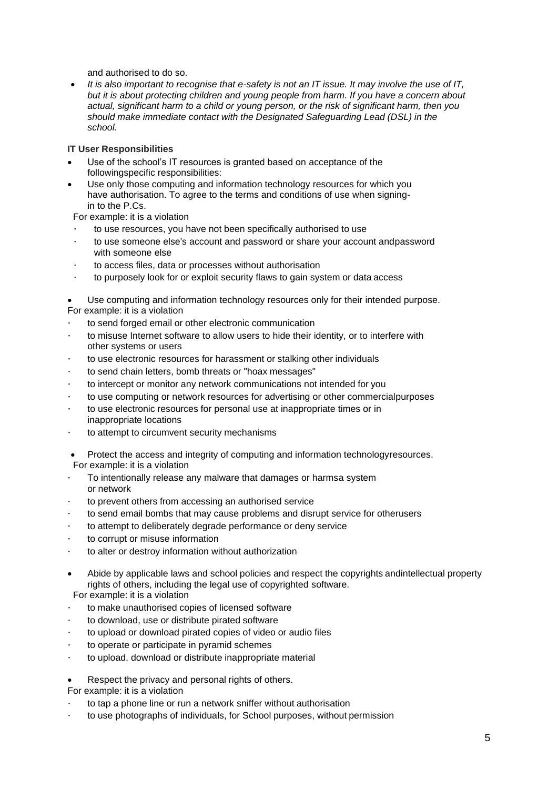and authorised to do so.

• *It is also important to recognise that e-safety is not an IT issue. It may involve the use of IT, but it is about protecting children and young people from harm. If you have a concern about actual, significant harm to a child or young person, or the risk of significant harm, then you should make immediate contact with the Designated Safeguarding Lead (DSL) in the school.*

### <span id="page-4-0"></span>**IT User Responsibilities**

- Use of the school's IT resources is granted based on acceptance of the followingspecific responsibilities:
- Use only those computing and information technology resources for which you have authorisation. To agree to the terms and conditions of use when signingin to the P.Cs.

For example: it is a violation

- to use resources, you have not been specifically authorised to use
- · to use someone else's account and password or share your account andpassword with someone else
- to access files, data or processes without authorisation
- · to purposely look for or exploit security flaws to gain system or data access
- Use computing and information technology resources only for their intended purpose. For example: it is a violation
- to send forged email or other electronic communication
- · to misuse Internet software to allow users to hide their identity, or to interfere with other systems or users
- · to use electronic resources for harassment or stalking other individuals
- to send chain letters, bomb threats or "hoax messages"
- to intercept or monitor any network communications not intended for you
- · to use computing or network resources for advertising or other commercialpurposes
- to use electronic resources for personal use at inappropriate times or in inappropriate locations
- to attempt to circumvent security mechanisms
- Protect the access and integrity of computing and information technologyresources. For example: it is a violation
- To intentionally release any malware that damages or harmsa system or network
- to prevent others from accessing an authorised service
- to send email bombs that may cause problems and disrupt service for otherusers
- to attempt to deliberately degrade performance or deny service
- to corrupt or misuse information
- to alter or destroy information without authorization
- Abide by applicable laws and school policies and respect the copyrights andintellectual property rights of others, including the legal use of copyrighted software. For example: it is a violation
- · to make unauthorised copies of licensed software
- to download, use or distribute pirated software
- to upload or download pirated copies of video or audio files
- to operate or participate in pyramid schemes
- to upload, download or distribute inappropriate material
- Respect the privacy and personal rights of others.
- For example: it is a violation
- to tap a phone line or run a network sniffer without authorisation
- · to use photographs of individuals, for School purposes, without permission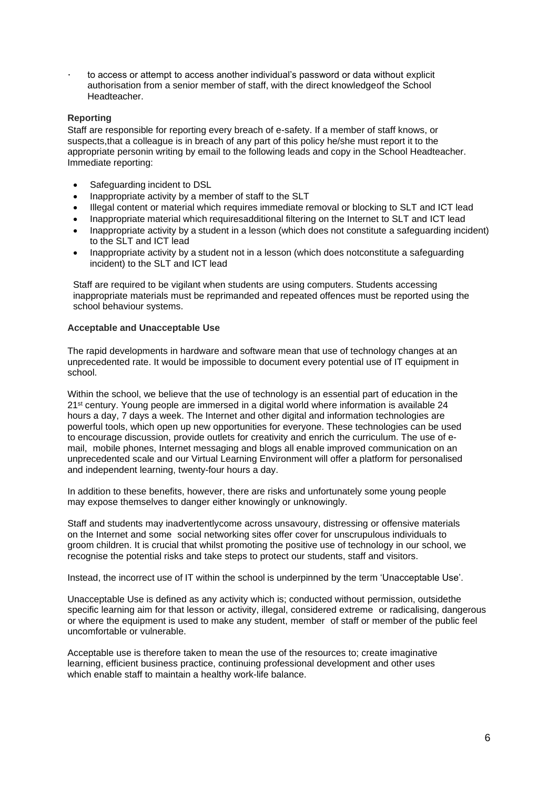to access or attempt to access another individual's password or data without explicit authorisation from a senior member of staff, with the direct knowledgeof the School Headteacher.

#### <span id="page-5-0"></span>**Reporting**

Staff are responsible for reporting every breach of e-safety. If a member of staff knows, or suspects,that a colleague is in breach of any part of this policy he/she must report it to the appropriate personin writing by email to the following leads and copy in the School Headteacher. Immediate reporting:

- Safeguarding incident to DSL
- Inappropriate activity by a member of staff to the SLT
- Illegal content or material which requires immediate removal or blocking to SLT and ICT lead
- Inappropriate material which requiresadditional filtering on the Internet to SLT and ICT lead
- Inappropriate activity by a student in a lesson (which does not constitute a safeguarding incident) to the SLT and ICT lead
- Inappropriate activity by a student not in a lesson (which does notconstitute a safeguarding incident) to the SLT and ICT lead

Staff are required to be vigilant when students are using computers. Students accessing inappropriate materials must be reprimanded and repeated offences must be reported using the school behaviour systems.

#### <span id="page-5-1"></span>**Acceptable and Unacceptable Use**

The rapid developments in hardware and software mean that use of technology changes at an unprecedented rate. It would be impossible to document every potential use of IT equipment in school.

Within the school, we believe that the use of technology is an essential part of education in the 21<sup>st</sup> century. Young people are immersed in a digital world where information is available 24 hours a day, 7 days a week. The Internet and other digital and information technologies are powerful tools, which open up new opportunities for everyone. These technologies can be used to encourage discussion, provide outlets for creativity and enrich the curriculum. The use of email, mobile phones, Internet messaging and blogs all enable improved communication on an unprecedented scale and our Virtual Learning Environment will offer a platform for personalised and independent learning, twenty-four hours a day.

In addition to these benefits, however, there are risks and unfortunately some young people may expose themselves to danger either knowingly or unknowingly.

Staff and students may inadvertentlycome across unsavoury, distressing or offensive materials on the Internet and some social networking sites offer cover for unscrupulous individuals to groom children. It is crucial that whilst promoting the positive use of technology in our school, we recognise the potential risks and take steps to protect our students, staff and visitors.

Instead, the incorrect use of IT within the school is underpinned by the term 'Unacceptable Use'.

Unacceptable Use is defined as any activity which is; conducted without permission, outsidethe specific learning aim for that lesson or activity, illegal, considered extreme or radicalising, dangerous or where the equipment is used to make any student, member of staff or member of the public feel uncomfortable or vulnerable.

Acceptable use is therefore taken to mean the use of the resources to; create imaginative learning, efficient business practice, continuing professional development and other uses which enable staff to maintain a healthy work-life balance.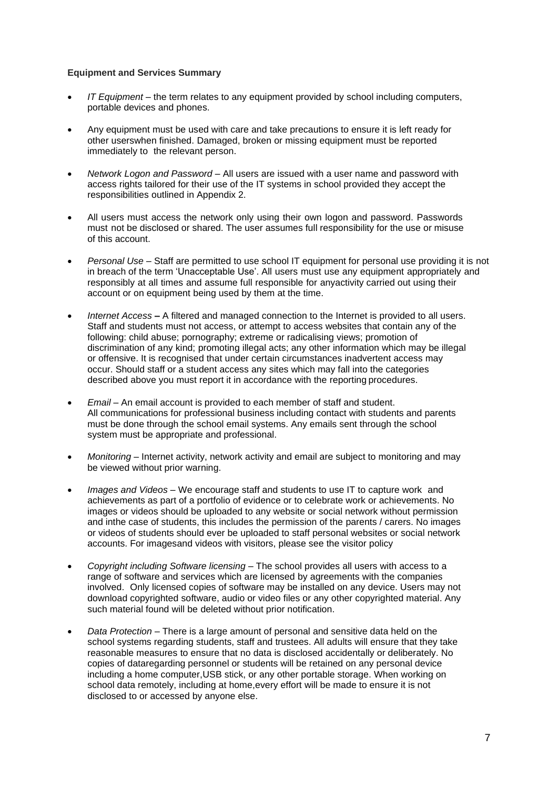#### <span id="page-6-0"></span>**Equipment and Services Summary**

- *IT Equipment* the term relates to any equipment provided by school including computers, portable devices and phones.
- Any equipment must be used with care and take precautions to ensure it is left ready for other userswhen finished. Damaged, broken or missing equipment must be reported immediately to the relevant person.
- *Network Logon and Password* All users are issued with a user name and password with access rights tailored for their use of the IT systems in school provided they accept the responsibilities outlined in Appendix 2.
- All users must access the network only using their own logon and password. Passwords must not be disclosed or shared. The user assumes full responsibility for the use or misuse of this account.
- *Personal Use* Staff are permitted to use school IT equipment for personal use providing it is not in breach of the term 'Unacceptable Use'. All users must use any equipment appropriately and responsibly at all times and assume full responsible for anyactivity carried out using their account or on equipment being used by them at the time.
- *Internet Access* **–** A filtered and managed connection to the Internet is provided to all users. Staff and students must not access, or attempt to access websites that contain any of the following: child abuse; pornography; extreme or radicalising views; promotion of discrimination of any kind; promoting illegal acts; any other information which may be illegal or offensive. It is recognised that under certain circumstances inadvertent access may occur. Should staff or a student access any sites which may fall into the categories described above you must report it in accordance with the reporting procedures.
- *Email* An email account is provided to each member of staff and student. All communications for professional business including contact with students and parents must be done through the school email systems. Any emails sent through the school system must be appropriate and professional.
- *Monitoring* Internet activity, network activity and email are subject to monitoring and may be viewed without prior warning.
- *Images and Videos* We encourage staff and students to use IT to capture work and achievements as part of a portfolio of evidence or to celebrate work or achievements. No images or videos should be uploaded to any website or social network without permission and inthe case of students, this includes the permission of the parents / carers. No images or videos of students should ever be uploaded to staff personal websites or social network accounts. For imagesand videos with visitors, please see the visitor policy
- *Copyright including Software licensing* The school provides all users with access to a range of software and services which are licensed by agreements with the companies involved. Only licensed copies of software may be installed on any device. Users may not download copyrighted software, audio or video files or any other copyrighted material. Any such material found will be deleted without prior notification.
- *Data Protection* There is a large amount of personal and sensitive data held on the school systems regarding students, staff and trustees. All adults will ensure that they take reasonable measures to ensure that no data is disclosed accidentally or deliberately. No copies of dataregarding personnel or students will be retained on any personal device including a home computer,USB stick, or any other portable storage. When working on school data remotely, including at home,every effort will be made to ensure it is not disclosed to or accessed by anyone else.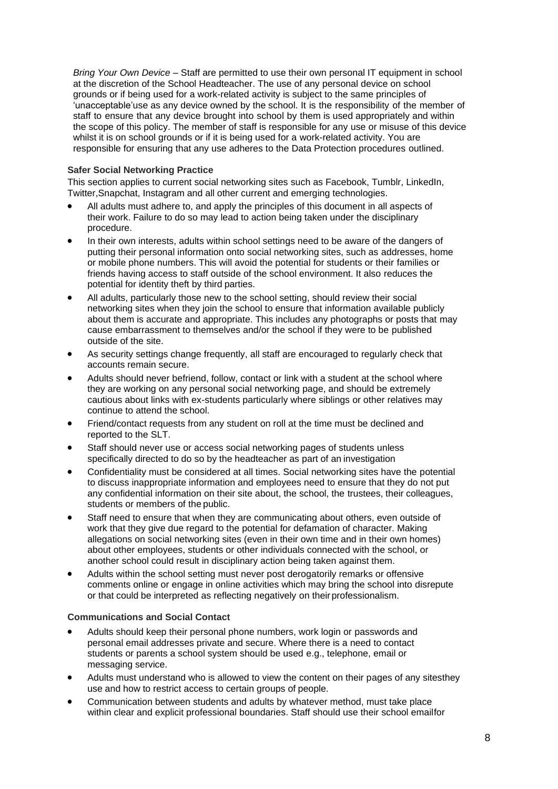*Bring Your Own Device* – Staff are permitted to use their own personal IT equipment in school at the discretion of the School Headteacher. The use of any personal device on school grounds or if being used for a work-related activity is subject to the same principles of 'unacceptable'use as any device owned by the school. It is the responsibility of the member of staff to ensure that any device brought into school by them is used appropriately and within the scope of this policy. The member of staff is responsible for any use or misuse of this device whilst it is on school grounds or if it is being used for a work-related activity. You are responsible for ensuring that any use adheres to the Data Protection procedures outlined.

### <span id="page-7-0"></span>**Safer Social Networking Practice**

This section applies to current social networking sites such as Facebook, Tumblr, LinkedIn, Twitter,Snapchat, Instagram and all other current and emerging technologies.

- All adults must adhere to, and apply the principles of this document in all aspects of their work. Failure to do so may lead to action being taken under the disciplinary procedure.
- In their own interests, adults within school settings need to be aware of the dangers of putting their personal information onto social networking sites, such as addresses, home or mobile phone numbers. This will avoid the potential for students or their families or friends having access to staff outside of the school environment. It also reduces the potential for identity theft by third parties.
- All adults, particularly those new to the school setting, should review their social networking sites when they join the school to ensure that information available publicly about them is accurate and appropriate. This includes any photographs or posts that may cause embarrassment to themselves and/or the school if they were to be published outside of the site.
- As security settings change frequently, all staff are encouraged to regularly check that accounts remain secure.
- Adults should never befriend, follow, contact or link with a student at the school where they are working on any personal social networking page, and should be extremely cautious about links with ex-students particularly where siblings or other relatives may continue to attend the school.
- Friend/contact requests from any student on roll at the time must be declined and reported to the SLT.
- Staff should never use or access social networking pages of students unless specifically directed to do so by the headteacher as part of an investigation
- Confidentiality must be considered at all times. Social networking sites have the potential to discuss inappropriate information and employees need to ensure that they do not put any confidential information on their site about, the school, the trustees, their colleagues, students or members of the public.
- Staff need to ensure that when they are communicating about others, even outside of work that they give due regard to the potential for defamation of character. Making allegations on social networking sites (even in their own time and in their own homes) about other employees, students or other individuals connected with the school, or another school could result in disciplinary action being taken against them.
- Adults within the school setting must never post derogatorily remarks or offensive comments online or engage in online activities which may bring the school into disrepute or that could be interpreted as reflecting negatively on their professionalism.

# <span id="page-7-1"></span>**Communications and Social Contact**

- Adults should keep their personal phone numbers, work login or passwords and personal email addresses private and secure. Where there is a need to contact students or parents a school system should be used e.g., telephone, email or messaging service.
- Adults must understand who is allowed to view the content on their pages of any sitesthey use and how to restrict access to certain groups of people.
- Communication between students and adults by whatever method, must take place within clear and explicit professional boundaries. Staff should use their school emailfor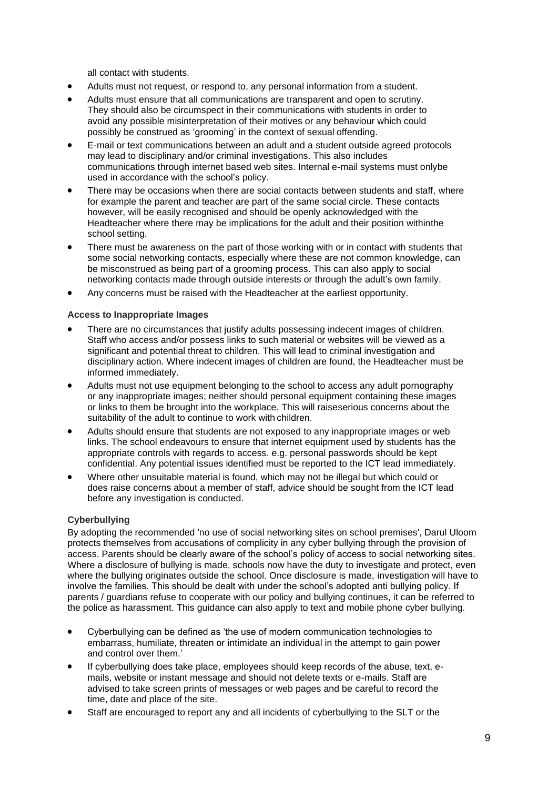all contact with students.

- Adults must not request, or respond to, any personal information from a student.
- Adults must ensure that all communications are transparent and open to scrutiny. They should also be circumspect in their communications with students in order to avoid any possible misinterpretation of their motives or any behaviour which could possibly be construed as 'grooming' in the context of sexual offending.
- E-mail or text communications between an adult and a student outside agreed protocols may lead to disciplinary and/or criminal investigations. This also includes communications through internet based web sites. Internal e-mail systems must onlybe used in accordance with the school's policy.
- There may be occasions when there are social contacts between students and staff, where for example the parent and teacher are part of the same social circle. These contacts however, will be easily recognised and should be openly acknowledged with the Headteacher where there may be implications for the adult and their position withinthe school setting.
- There must be awareness on the part of those working with or in contact with students that some social networking contacts, especially where these are not common knowledge, can be misconstrued as being part of a grooming process. This can also apply to social networking contacts made through outside interests or through the adult's own family.
- Any concerns must be raised with the Headteacher at the earliest opportunity.

### <span id="page-8-0"></span>**Access to Inappropriate Images**

- There are no circumstances that justify adults possessing indecent images of children. Staff who access and/or possess links to such material or websites will be viewed as a significant and potential threat to children. This will lead to criminal investigation and disciplinary action. Where indecent images of children are found, the Headteacher must be informed immediately.
- Adults must not use equipment belonging to the school to access any adult pornography or any inappropriate images; neither should personal equipment containing these images or links to them be brought into the workplace. This will raiseserious concerns about the suitability of the adult to continue to work with children.
- Adults should ensure that students are not exposed to any inappropriate images or web links. The school endeavours to ensure that internet equipment used by students has the appropriate controls with regards to access. e.g. personal passwords should be kept confidential. Any potential issues identified must be reported to the ICT lead immediately.
- Where other unsuitable material is found, which may not be illegal but which could or does raise concerns about a member of staff, advice should be sought from the ICT lead before any investigation is conducted.

### <span id="page-8-1"></span>**Cyberbullying**

By adopting the recommended 'no use of social networking sites on school premises', Darul Uloom protects themselves from accusations of complicity in any cyber bullying through the provision of access. Parents should be clearly aware of the school's policy of access to social networking sites. Where a disclosure of bullying is made, schools now have the duty to investigate and protect, even where the bullying originates outside the school. Once disclosure is made, investigation will have to involve the families. This should be dealt with under the school's adopted anti bullying policy. If parents / guardians refuse to cooperate with our policy and bullying continues, it can be referred to the police as harassment. This guidance can also apply to text and mobile phone cyber bullying.

- Cyberbullying can be defined as 'the use of modern communication technologies to embarrass, humiliate, threaten or intimidate an individual in the attempt to gain power and control over them.<sup>'</sup>
- If cyberbullying does take place, employees should keep records of the abuse, text, emails, website or instant message and should not delete texts or e-mails. Staff are advised to take screen prints of messages or web pages and be careful to record the time, date and place of the site.
- Staff are encouraged to report any and all incidents of cyberbullying to the SLT or the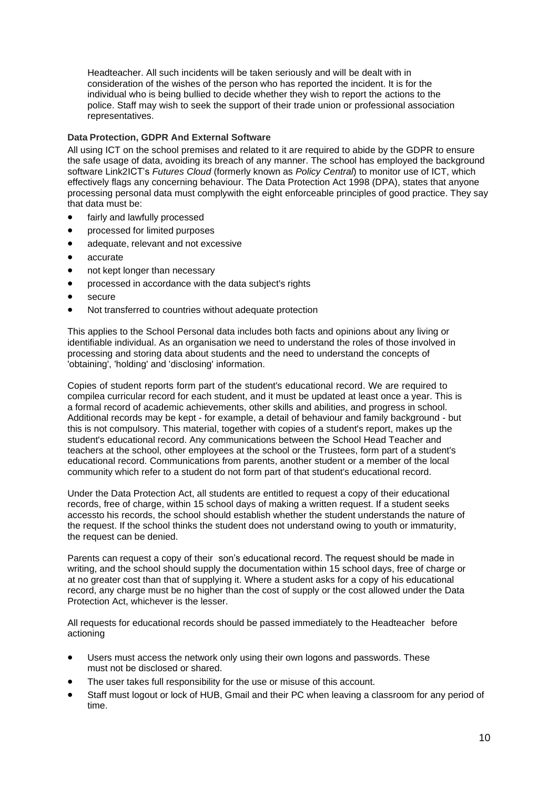Headteacher. All such incidents will be taken seriously and will be dealt with in consideration of the wishes of the person who has reported the incident. It is for the individual who is being bullied to decide whether they wish to report the actions to the police. Staff may wish to seek the support of their trade union or professional association representatives.

### <span id="page-9-0"></span>**Data Protection, GDPR And External Software**

All using ICT on the school premises and related to it are required to abide by the GDPR to ensure the safe usage of data, avoiding its breach of any manner. The school has employed the background software Link2ICT's *Futures Cloud* (formerly known as *Policy Central*) to monitor use of ICT, which effectively flags any concerning behaviour. The Data Protection Act 1998 (DPA), states that anyone processing personal data must complywith the eight enforceable principles of good practice. They say that data must be:

- fairly and lawfully processed
- processed for limited purposes
- adequate, relevant and not excessive
- accurate
- not kept longer than necessary
- processed in accordance with the data subject's rights
- secure
- Not transferred to countries without adequate protection

This applies to the School Personal data includes both facts and opinions about any living or identifiable individual. As an organisation we need to understand the roles of those involved in processing and storing data about students and the need to understand the concepts of 'obtaining', 'holding' and 'disclosing' information.

Copies of student reports form part of the student's educational record. We are required to compilea curricular record for each student, and it must be updated at least once a year. This is a formal record of academic achievements, other skills and abilities, and progress in school. Additional records may be kept - for example, a detail of behaviour and family background - but this is not compulsory. This material, together with copies of a student's report, makes up the student's educational record. Any communications between the School Head Teacher and teachers at the school, other employees at the school or the Trustees, form part of a student's educational record. Communications from parents, another student or a member of the local community which refer to a student do not form part of that student's educational record.

Under the Data Protection Act, all students are entitled to request a copy of their educational records, free of charge, within 15 school days of making a written request. If a student seeks accessto his records, the school should establish whether the student understands the nature of the request. If the school thinks the student does not understand owing to youth or immaturity, the request can be denied.

Parents can request a copy of their son's educational record. The request should be made in writing, and the school should supply the documentation within 15 school days, free of charge or at no greater cost than that of supplying it. Where a student asks for a copy of his educational record, any charge must be no higher than the cost of supply or the cost allowed under the Data Protection Act, whichever is the lesser.

All requests for educational records should be passed immediately to the Headteacher before actioning

- Users must access the network only using their own logons and passwords. These must not be disclosed or shared.
- The user takes full responsibility for the use or misuse of this account.
- Staff must logout or lock of HUB, Gmail and their PC when leaving a classroom for any period of time.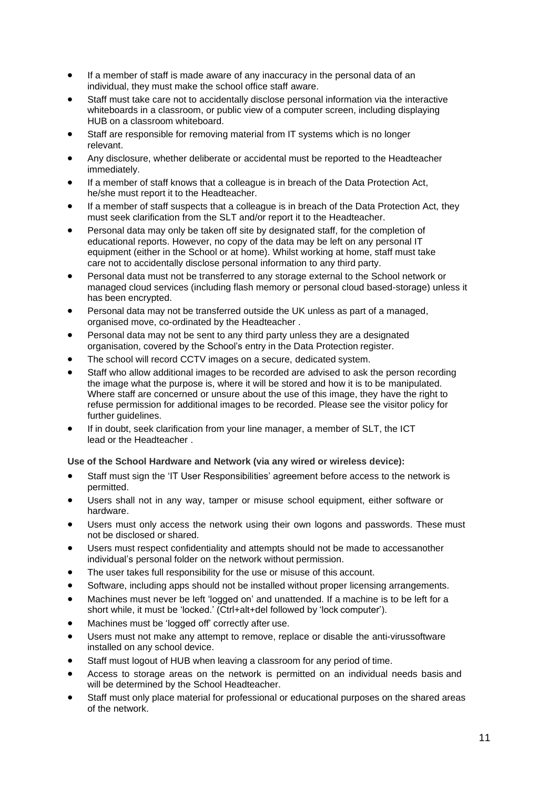- If a member of staff is made aware of any inaccuracy in the personal data of an individual, they must make the school office staff aware.
- Staff must take care not to accidentally disclose personal information via the interactive whiteboards in a classroom, or public view of a computer screen, including displaying HUB on a classroom whiteboard.
- Staff are responsible for removing material from IT systems which is no longer relevant.
- Any disclosure, whether deliberate or accidental must be reported to the Headteacher immediately.
- If a member of staff knows that a colleague is in breach of the Data Protection Act, he/she must report it to the Headteacher.
- If a member of staff suspects that a colleague is in breach of the Data Protection Act, they must seek clarification from the SLT and/or report it to the Headteacher.
- Personal data may only be taken off site by designated staff, for the completion of educational reports. However, no copy of the data may be left on any personal IT equipment (either in the School or at home). Whilst working at home, staff must take care not to accidentally disclose personal information to any third party.
- Personal data must not be transferred to any storage external to the School network or managed cloud services (including flash memory or personal cloud based-storage) unless it has been encrypted.
- Personal data may not be transferred outside the UK unless as part of a managed, organised move, co-ordinated by the Headteacher .
- Personal data may not be sent to any third party unless they are a designated organisation, covered by the School's entry in the Data Protection register.
- The school will record CCTV images on a secure, dedicated system.
- Staff who allow additional images to be recorded are advised to ask the person recording the image what the purpose is, where it will be stored and how it is to be manipulated. Where staff are concerned or unsure about the use of this image, they have the right to refuse permission for additional images to be recorded. Please see the visitor policy for further guidelines.
- If in doubt, seek clarification from your line manager, a member of SLT, the ICT lead or the Headteacher .

# <span id="page-10-0"></span>**Use of the School Hardware and Network (via any wired or wireless device):**

- Staff must sign the 'IT User Responsibilities' agreement before access to the network is permitted.
- Users shall not in any way, tamper or misuse school equipment, either software or hardware.
- Users must only access the network using their own logons and passwords. These must not be disclosed or shared.
- Users must respect confidentiality and attempts should not be made to accessanother individual's personal folder on the network without permission.
- The user takes full responsibility for the use or misuse of this account.
- Software, including apps should not be installed without proper licensing arrangements.
- Machines must never be left 'logged on' and unattended. If a machine is to be left for a short while, it must be 'locked.' (Ctrl+alt+del followed by 'lock computer').
- Machines must be 'logged off' correctly after use.
- Users must not make any attempt to remove, replace or disable the anti-virussoftware installed on any school device.
- Staff must logout of HUB when leaving a classroom for any period of time.
- Access to storage areas on the network is permitted on an individual needs basis and will be determined by the School Headteacher.
- Staff must only place material for professional or educational purposes on the shared areas of the network.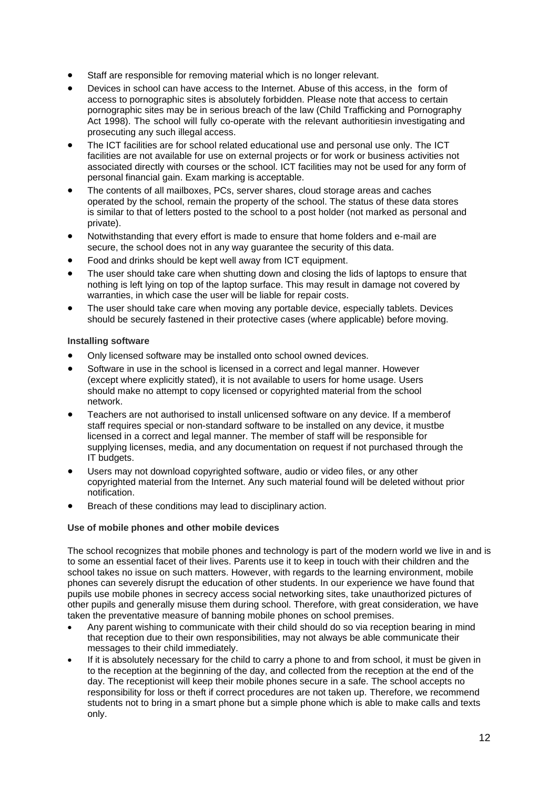- Staff are responsible for removing material which is no longer relevant.
- Devices in school can have access to the Internet. Abuse of this access, in the form of access to pornographic sites is absolutely forbidden. Please note that access to certain pornographic sites may be in serious breach of the law (Child Trafficking and Pornography Act 1998). The school will fully co-operate with the relevant authoritiesin investigating and prosecuting any such illegal access.
- The ICT facilities are for school related educational use and personal use only. The ICT facilities are not available for use on external projects or for work or business activities not associated directly with courses or the school. ICT facilities may not be used for any form of personal financial gain. Exam marking is acceptable.
- The contents of all mailboxes, PCs, server shares, cloud storage areas and caches operated by the school, remain the property of the school. The status of these data stores is similar to that of letters posted to the school to a post holder (not marked as personal and private).
- Notwithstanding that every effort is made to ensure that home folders and e-mail are secure, the school does not in any way guarantee the security of this data.
- Food and drinks should be kept well away from ICT equipment.
- The user should take care when shutting down and closing the lids of laptops to ensure that nothing is left lying on top of the laptop surface. This may result in damage not covered by warranties, in which case the user will be liable for repair costs.
- The user should take care when moving any portable device, especially tablets. Devices should be securely fastened in their protective cases (where applicable) before moving.

### <span id="page-11-0"></span>**Installing software**

- Only licensed software may be installed onto school owned devices.
- Software in use in the school is licensed in a correct and legal manner. However (except where explicitly stated), it is not available to users for home usage. Users should make no attempt to copy licensed or copyrighted material from the school network.
- Teachers are not authorised to install unlicensed software on any device. If a memberof staff requires special or non-standard software to be installed on any device, it mustbe licensed in a correct and legal manner. The member of staff will be responsible for supplying licenses, media, and any documentation on request if not purchased through the IT budgets.
- Users may not download copyrighted software, audio or video files, or any other copyrighted material from the Internet. Any such material found will be deleted without prior notification.
- Breach of these conditions may lead to disciplinary action.

### <span id="page-11-1"></span>**Use of mobile phones and other mobile devices**

The school recognizes that mobile phones and technology is part of the modern world we live in and is to some an essential facet of their lives. Parents use it to keep in touch with their children and the school takes no issue on such matters. However, with regards to the learning environment, mobile phones can severely disrupt the education of other students. In our experience we have found that pupils use mobile phones in secrecy access social networking sites, take unauthorized pictures of other pupils and generally misuse them during school. Therefore, with great consideration, we have taken the preventative measure of banning mobile phones on school premises.

- Any parent wishing to communicate with their child should do so via reception bearing in mind that reception due to their own responsibilities, may not always be able communicate their messages to their child immediately.
- If it is absolutely necessary for the child to carry a phone to and from school, it must be given in to the reception at the beginning of the day, and collected from the reception at the end of the day. The receptionist will keep their mobile phones secure in a safe. The school accepts no responsibility for loss or theft if correct procedures are not taken up. Therefore, we recommend students not to bring in a smart phone but a simple phone which is able to make calls and texts only.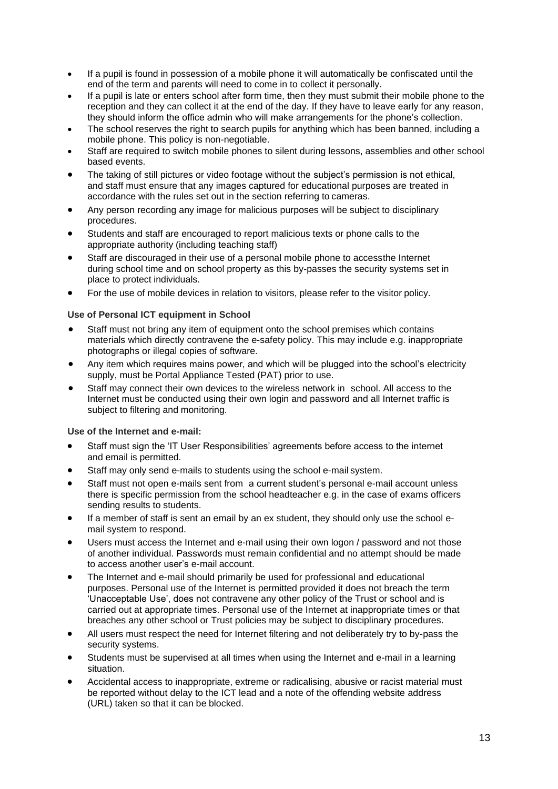- If a pupil is found in possession of a mobile phone it will automatically be confiscated until the end of the term and parents will need to come in to collect it personally.
- If a pupil is late or enters school after form time, then they must submit their mobile phone to the reception and they can collect it at the end of the day. If they have to leave early for any reason, they should inform the office admin who will make arrangements for the phone's collection.
- The school reserves the right to search pupils for anything which has been banned, including a mobile phone. This policy is non-negotiable.
- Staff are required to switch mobile phones to silent during lessons, assemblies and other school based events.
- The taking of still pictures or video footage without the subject's permission is not ethical, and staff must ensure that any images captured for educational purposes are treated in accordance with the rules set out in the section referring to cameras.
- Any person recording any image for malicious purposes will be subject to disciplinary procedures.
- Students and staff are encouraged to report malicious texts or phone calls to the appropriate authority (including teaching staff)
- Staff are discouraged in their use of a personal mobile phone to accessthe Internet during school time and on school property as this by-passes the security systems set in place to protect individuals.
- For the use of mobile devices in relation to visitors, please refer to the visitor policy.

### <span id="page-12-0"></span>**Use of Personal ICT equipment in School**

- Staff must not bring any item of equipment onto the school premises which contains materials which directly contravene the e-safety policy. This may include e.g. inappropriate photographs or illegal copies of software.
- Any item which requires mains power, and which will be plugged into the school's electricity supply, must be Portal Appliance Tested (PAT) prior to use.
- Staff may connect their own devices to the wireless network in school. All access to the Internet must be conducted using their own login and password and all Internet traffic is subject to filtering and monitoring.

### <span id="page-12-1"></span>**Use of the Internet and e-mail:**

- Staff must sign the 'IT User Responsibilities' agreements before access to the internet and email is permitted.
- Staff may only send e-mails to students using the school e-mail system.
- Staff must not open e-mails sent from a current student's personal e-mail account unless there is specific permission from the school headteacher e.g. in the case of exams officers sending results to students.
- If a member of staff is sent an email by an ex student, they should only use the school email system to respond.
- Users must access the Internet and e-mail using their own logon / password and not those of another individual. Passwords must remain confidential and no attempt should be made to access another user's e-mail account.
- The Internet and e-mail should primarily be used for professional and educational purposes. Personal use of the Internet is permitted provided it does not breach the term 'Unacceptable Use', does not contravene any other policy of the Trust or school and is carried out at appropriate times. Personal use of the Internet at inappropriate times or that breaches any other school or Trust policies may be subject to disciplinary procedures.
- All users must respect the need for Internet filtering and not deliberately try to by-pass the security systems.
- Students must be supervised at all times when using the Internet and e-mail in a learning situation.
- Accidental access to inappropriate, extreme or radicalising, abusive or racist material must be reported without delay to the ICT lead and a note of the offending website address (URL) taken so that it can be blocked.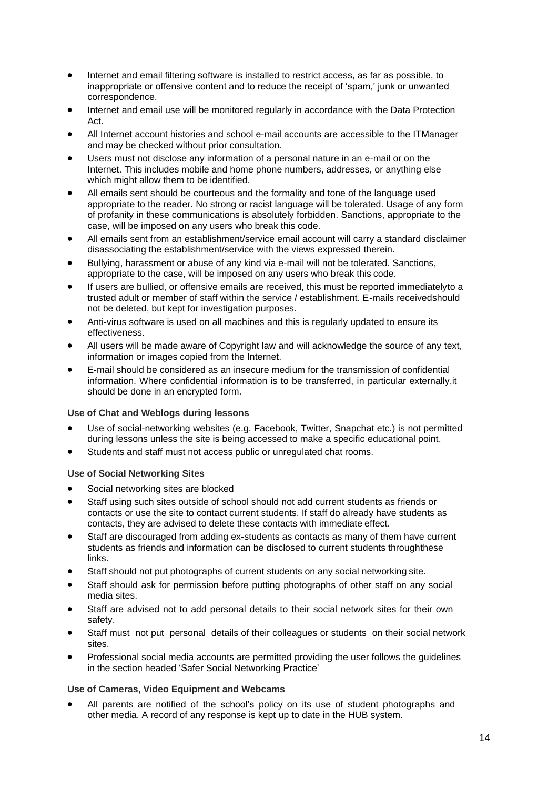- Internet and email filtering software is installed to restrict access, as far as possible, to inappropriate or offensive content and to reduce the receipt of 'spam,' junk or unwanted correspondence.
- Internet and email use will be monitored regularly in accordance with the Data Protection Act.
- All Internet account histories and school e-mail accounts are accessible to the ITManager and may be checked without prior consultation.
- Users must not disclose any information of a personal nature in an e-mail or on the Internet. This includes mobile and home phone numbers, addresses, or anything else which might allow them to be identified.
- All emails sent should be courteous and the formality and tone of the language used appropriate to the reader. No strong or racist language will be tolerated. Usage of any form of profanity in these communications is absolutely forbidden. Sanctions, appropriate to the case, will be imposed on any users who break this code.
- All emails sent from an establishment/service email account will carry a standard disclaimer disassociating the establishment/service with the views expressed therein.
- Bullying, harassment or abuse of any kind via e-mail will not be tolerated. Sanctions, appropriate to the case, will be imposed on any users who break this code.
- If users are bullied, or offensive emails are received, this must be reported immediatelyto a trusted adult or member of staff within the service / establishment. E-mails receivedshould not be deleted, but kept for investigation purposes.
- Anti-virus software is used on all machines and this is regularly updated to ensure its effectiveness.
- All users will be made aware of Copyright law and will acknowledge the source of any text, information or images copied from the Internet.
- E-mail should be considered as an insecure medium for the transmission of confidential information. Where confidential information is to be transferred, in particular externally,it should be done in an encrypted form.

### <span id="page-13-0"></span>**Use of Chat and Weblogs during lessons**

- Use of social-networking websites (e.g. Facebook, Twitter, Snapchat etc.) is not permitted during lessons unless the site is being accessed to make a specific educational point.
- Students and staff must not access public or unregulated chat rooms.

### <span id="page-13-1"></span>**Use of Social Networking Sites**

- Social networking sites are blocked
- Staff using such sites outside of school should not add current students as friends or contacts or use the site to contact current students. If staff do already have students as contacts, they are advised to delete these contacts with immediate effect.
- Staff are discouraged from adding ex-students as contacts as many of them have current students as friends and information can be disclosed to current students throughthese links.
- Staff should not put photographs of current students on any social networking site.
- Staff should ask for permission before putting photographs of other staff on any social media sites.
- Staff are advised not to add personal details to their social network sites for their own safety.
- Staff must not put personal details of their colleagues or students on their social network sites.
- Professional social media accounts are permitted providing the user follows the guidelines in the section headed 'Safer Social Networking Practice'

### <span id="page-13-2"></span>**Use of Cameras, Video Equipment and Webcams**

• All parents are notified of the school's policy on its use of student photographs and other media. A record of any response is kept up to date in the HUB system.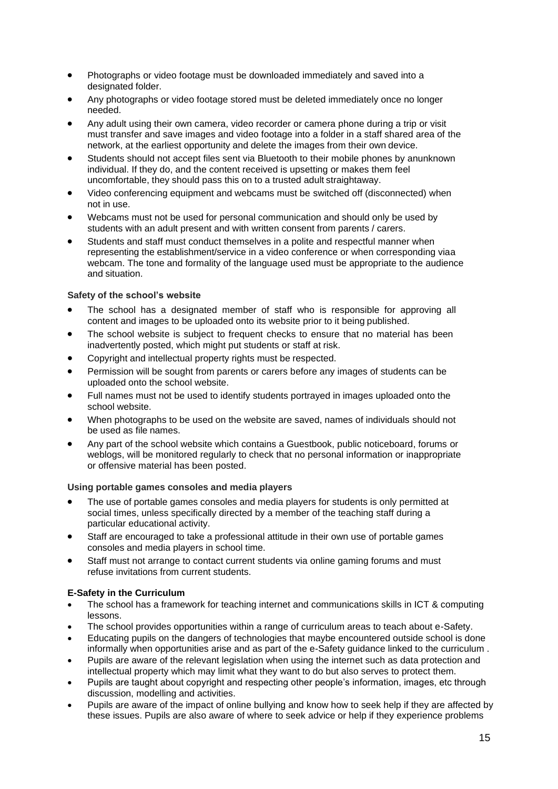- Photographs or video footage must be downloaded immediately and saved into a designated folder.
- Any photographs or video footage stored must be deleted immediately once no longer needed.
- Any adult using their own camera, video recorder or camera phone during a trip or visit must transfer and save images and video footage into a folder in a staff shared area of the network, at the earliest opportunity and delete the images from their own device.
- Students should not accept files sent via Bluetooth to their mobile phones by anunknown individual. If they do, and the content received is upsetting or makes them feel uncomfortable, they should pass this on to a trusted adult straightaway.
- Video conferencing equipment and webcams must be switched off (disconnected) when not in use.
- Webcams must not be used for personal communication and should only be used by students with an adult present and with written consent from parents / carers.
- Students and staff must conduct themselves in a polite and respectful manner when representing the establishment/service in a video conference or when corresponding viaa webcam. The tone and formality of the language used must be appropriate to the audience and situation.

## <span id="page-14-0"></span>**Safety of the school's website**

- The school has a designated member of staff who is responsible for approving all content and images to be uploaded onto its website prior to it being published.
- The school website is subject to frequent checks to ensure that no material has been inadvertently posted, which might put students or staff at risk.
- Copyright and intellectual property rights must be respected.
- Permission will be sought from parents or carers before any images of students can be uploaded onto the school website.
- Full names must not be used to identify students portrayed in images uploaded onto the school website.
- When photographs to be used on the website are saved, names of individuals should not be used as file names.
- Any part of the school website which contains a Guestbook, public noticeboard, forums or weblogs, will be monitored regularly to check that no personal information or inappropriate or offensive material has been posted.

### <span id="page-14-1"></span>**Using portable games consoles and media players**

- The use of portable games consoles and media players for students is only permitted at social times, unless specifically directed by a member of the teaching staff during a particular educational activity.
- Staff are encouraged to take a professional attitude in their own use of portable games consoles and media players in school time.
- Staff must not arrange to contact current students via online gaming forums and must refuse invitations from current students.

### **E-Safety in the Curriculum**

- The school has a framework for teaching internet and communications skills in ICT & computing lessons.
- The school provides opportunities within a range of curriculum areas to teach about e-Safety.
- Educating pupils on the dangers of technologies that maybe encountered outside school is done informally when opportunities arise and as part of the e-Safety guidance linked to the curriculum .
- Pupils are aware of the relevant legislation when using the internet such as data protection and intellectual property which may limit what they want to do but also serves to protect them.
- Pupils are taught about copyright and respecting other people's information, images, etc through discussion, modelling and activities.
- Pupils are aware of the impact of online bullying and know how to seek help if they are affected by these issues. Pupils are also aware of where to seek advice or help if they experience problems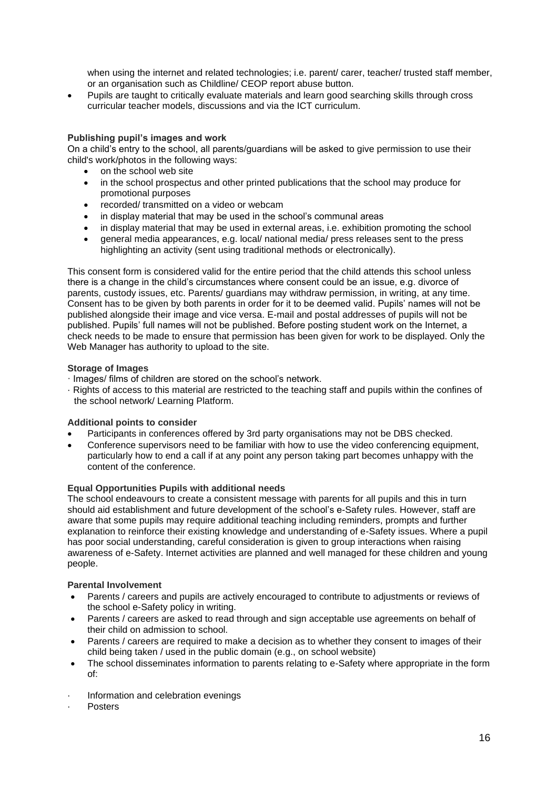when using the internet and related technologies; i.e. parent/ carer, teacher/ trusted staff member, or an organisation such as Childline/ CEOP report abuse button.

• Pupils are taught to critically evaluate materials and learn good searching skills through cross curricular teacher models, discussions and via the ICT curriculum.

## <span id="page-15-0"></span>**Publishing pupil's images and work**

On a child's entry to the school, all parents/guardians will be asked to give permission to use their child's work/photos in the following ways:

- on the school web site
- in the school prospectus and other printed publications that the school may produce for promotional purposes
- recorded/ transmitted on a video or webcam
- in display material that may be used in the school's communal areas
- in display material that may be used in external areas, i.e. exhibition promoting the school
- general media appearances, e.g. local/ national media/ press releases sent to the press highlighting an activity (sent using traditional methods or electronically).

This consent form is considered valid for the entire period that the child attends this school unless there is a change in the child's circumstances where consent could be an issue, e.g. divorce of parents, custody issues, etc. Parents/ guardians may withdraw permission, in writing, at any time. Consent has to be given by both parents in order for it to be deemed valid. Pupils' names will not be published alongside their image and vice versa. E-mail and postal addresses of pupils will not be published. Pupils' full names will not be published. Before posting student work on the Internet, a check needs to be made to ensure that permission has been given for work to be displayed. Only the Web Manager has authority to upload to the site.

### <span id="page-15-1"></span>**Storage of Images**

- · Images/ films of children are stored on the school's network.
- · Rights of access to this material are restricted to the teaching staff and pupils within the confines of the school network/ Learning Platform.

### <span id="page-15-2"></span>**Additional points to consider**

- Participants in conferences offered by 3rd party organisations may not be DBS checked.
- Conference supervisors need to be familiar with how to use the video conferencing equipment, particularly how to end a call if at any point any person taking part becomes unhappy with the content of the conference.

### <span id="page-15-3"></span>**Equal Opportunities Pupils with additional needs**

The school endeavours to create a consistent message with parents for all pupils and this in turn should aid establishment and future development of the school's e-Safety rules. However, staff are aware that some pupils may require additional teaching including reminders, prompts and further explanation to reinforce their existing knowledge and understanding of e-Safety issues. Where a pupil has poor social understanding, careful consideration is given to group interactions when raising awareness of e-Safety. Internet activities are planned and well managed for these children and young people.

### <span id="page-15-4"></span>**Parental Involvement**

- Parents / careers and pupils are actively encouraged to contribute to adjustments or reviews of the school e-Safety policy in writing.
- Parents / careers are asked to read through and sign acceptable use agreements on behalf of their child on admission to school.
- Parents / careers are required to make a decision as to whether they consent to images of their child being taken / used in the public domain (e.g., on school website)
- The school disseminates information to parents relating to e-Safety where appropriate in the form of:
- Information and celebration evenings
- · Posters